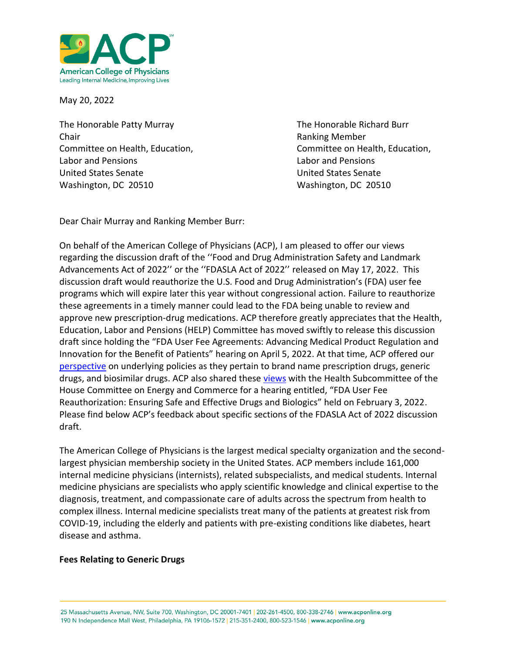

May 20, 2022

The Honorable Patty Murray **The Honorable Richard Burr** The Honorable Richard Burr **Chair Chair Chair Chair Chair Chair Chair Chair Chair Chair Chair Chair Chair Chair Chair Chair Chair Chair Chair Chair Chair Chair Chair Chair Chair Chair Chair Chair** Labor and Pensions Labor and Pensions United States Senate United States Senate Washington, DC 20510 Washington, DC 20510

Committee on Health, Education, The Committee on Health, Education,

Dear Chair Murray and Ranking Member Burr:

On behalf of the American College of Physicians (ACP), I am pleased to offer our views regarding the discussion draft of the ''Food and Drug Administration Safety and Landmark Advancements Act of 2022'' or the ''FDASLA Act of 2022'' released on May 17, 2022. This discussion draft would reauthorize the U.S. Food and Drug Administration's (FDA) user fee programs which will expire later this year without congressional action. Failure to reauthorize these agreements in a timely manner could lead to the FDA being unable to review and approve new prescription-drug medications. ACP therefore greatly appreciates that the Health, Education, Labor and Pensions (HELP) Committee has moved swiftly to release this discussion draft since holding the "FDA User Fee Agreements: Advancing Medical Product Regulation and Innovation for the Benefit of Patients" hearing on April 5, 2022. At that time, ACP offered our [perspective](https://www.acponline.org/acp_policy/testimony/acp_statement_for_the_record_to_the_senate_help_committee_for_the_hearing_fda_user_fee_agreements_april_2022.pdf) on underlying policies as they pertain to brand name prescription drugs, generic drugs, and biosimilar drugs. ACP also shared these [views](https://www.acponline.org/acp_policy/testimony/acp_statement_to_the_energy_and_commerce_committee_on_legislation_reauthorizing_user_fee_agreements_feb_2022.pdf) with the Health Subcommittee of the House Committee on Energy and Commerce for a hearing entitled, "FDA User Fee Reauthorization: Ensuring Safe and Effective Drugs and Biologics" held on February 3, 2022. Please find below ACP's feedback about specific sections of the FDASLA Act of 2022 discussion draft.

The American College of Physicians is the largest medical specialty organization and the secondlargest physician membership society in the United States. ACP members include 161,000 internal medicine physicians (internists), related subspecialists, and medical students. Internal medicine physicians are specialists who apply scientific knowledge and clinical expertise to the diagnosis, treatment, and compassionate care of adults across the spectrum from health to complex illness. Internal medicine specialists treat many of the patients at greatest risk from COVID-19, including the elderly and patients with pre-existing conditions like diabetes, heart disease and asthma.

## **Fees Relating to Generic Drugs**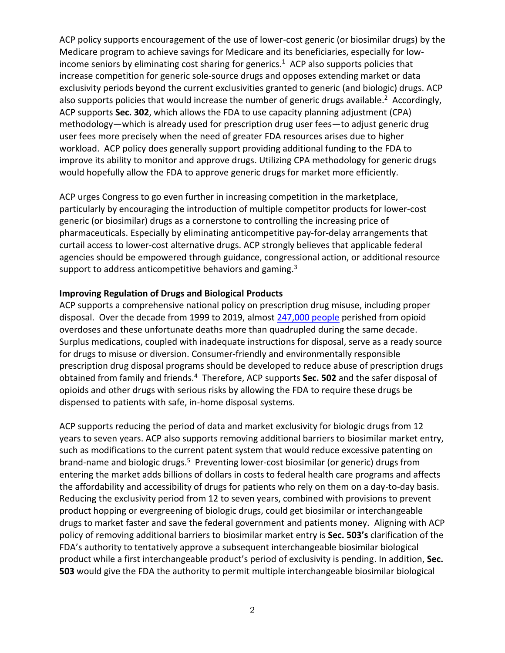ACP policy supports encouragement of the use of lower-cost generic (or biosimilar drugs) by the Medicare program to achieve savings for Medicare and its beneficiaries, especially for lowincome seniors by eliminating cost sharing for generics. 1 ACP also supports policies that increase competition for generic sole-source drugs and opposes extending market or data exclusivity periods beyond the current exclusivities granted to generic (and biologic) drugs. ACP also supports policies that would increase the number of generic drugs available.<sup>2</sup> Accordingly, ACP supports **Sec. 302**, which allows the FDA to use capacity planning adjustment (CPA) methodology—which is already used for prescription drug user fees—to adjust generic drug user fees more precisely when the need of greater FDA resources arises due to higher workload. ACP policy does generally support providing additional funding to the FDA to improve its ability to monitor and approve drugs. Utilizing CPA methodology for generic drugs would hopefully allow the FDA to approve generic drugs for market more efficiently.

ACP urges Congress to go even further in increasing competition in the marketplace, particularly by encouraging the introduction of multiple competitor products for lower-cost generic (or biosimilar) drugs as a cornerstone to controlling the increasing price of pharmaceuticals. Especially by eliminating anticompetitive pay-for-delay arrangements that curtail access to lower-cost alternative drugs. ACP strongly believes that applicable federal agencies should be empowered through guidance, congressional action, or additional resource support to address anticompetitive behaviors and gaming.<sup>3</sup>

## **Improving Regulation of Drugs and Biological Products**

ACP supports a comprehensive national policy on prescription drug misuse, including proper disposal. Over the decade from 1999 to 2019, almost [247,000 people](https://www.cdc.gov/drugoverdose/deaths/prescription/overview.html) perished from opioid overdoses and these unfortunate deaths more than quadrupled during the same decade. Surplus medications, coupled with inadequate instructions for disposal, serve as a ready source for drugs to misuse or diversion. Consumer-friendly and environmentally responsible prescription drug disposal programs should be developed to reduce abuse of prescription drugs obtained from family and friends.<sup>4</sup> Therefore, ACP supports **Sec. 502** and the safer disposal of opioids and other drugs with serious risks by allowing the FDA to require these drugs be dispensed to patients with safe, in-home disposal systems.

ACP supports reducing the period of data and market exclusivity for biologic drugs from 12 years to seven years. ACP also supports removing additional barriers to biosimilar market entry, such as modifications to the current patent system that would reduce excessive patenting on brand-name and biologic drugs.<sup>5</sup> Preventing lower-cost biosimilar (or generic) drugs from entering the market adds billions of dollars in costs to federal health care programs and affects the affordability and accessibility of drugs for patients who rely on them on a day-to-day basis. Reducing the exclusivity period from 12 to seven years, combined with provisions to prevent product hopping or evergreening of biologic drugs, could get biosimilar or interchangeable drugs to market faster and save the federal government and patients money. Aligning with ACP policy of removing additional barriers to biosimilar market entry is **Sec. 503's** clarification of the FDA's authority to tentatively approve a subsequent interchangeable biosimilar biological product while a first interchangeable product's period of exclusivity is pending. In addition, **Sec. 503** would give the FDA the authority to permit multiple interchangeable biosimilar biological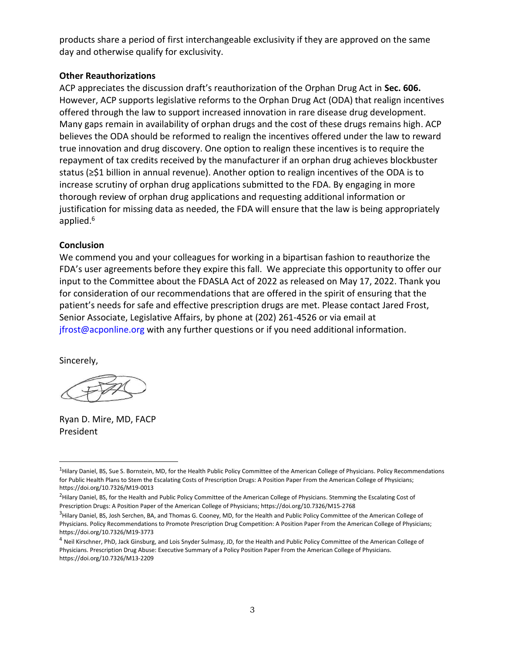products share a period of first interchangeable exclusivity if they are approved on the same day and otherwise qualify for exclusivity.

## **Other Reauthorizations**

ACP appreciates the discussion draft's reauthorization of the Orphan Drug Act in **Sec. 606.**  However, ACP supports legislative reforms to the Orphan Drug Act (ODA) that realign incentives offered through the law to support increased innovation in rare disease drug development. Many gaps remain in availability of orphan drugs and the cost of these drugs remains high. ACP believes the ODA should be reformed to realign the incentives offered under the law to reward true innovation and drug discovery. One option to realign these incentives is to require the repayment of tax credits received by the manufacturer if an orphan drug achieves blockbuster status (≥\$1 billion in annual revenue). Another option to realign incentives of the ODA is to increase scrutiny of orphan drug applications submitted to the FDA. By engaging in more thorough review of orphan drug applications and requesting additional information or justification for missing data as needed, the FDA will ensure that the law is being appropriately applied.<sup>6</sup>

## **Conclusion**

We commend you and your colleagues for working in a bipartisan fashion to reauthorize the FDA's user agreements before they expire this fall. We appreciate this opportunity to offer our input to the Committee about the FDASLA Act of 2022 as released on May 17, 2022. Thank you for consideration of our recommendations that are offered in the spirit of ensuring that the patient's needs for safe and effective prescription drugs are met. Please contact Jared Frost, Senior Associate, Legislative Affairs, by phone at (202) 261-4526 or via email at jfrost@acponline.org with any further questions or if you need additional information.

Sincerely,

Ryan D. Mire, MD, FACP President

<sup>&</sup>lt;sup>1</sup>Hilary Daniel, BS, Sue S. Bornstein, MD, for the Health Public Policy Committee of the American College of Physicians. Policy Recommendations for Public Health Plans to Stem the Escalating Costs of Prescription Drugs: A Position Paper From the American College of Physicians; https://doi.org/10.7326/M19-0013

<sup>&</sup>lt;sup>2</sup>Hilary Daniel, BS, for the Health and Public Policy Committee of the American College of Physicians. Stemming the Escalating Cost of Prescription Drugs: A Position Paper of the American College of Physicians; https://doi.org/10.7326/M15-2768

<sup>&</sup>lt;sup>3</sup>Hilary Daniel, BS, Josh Serchen, BA, and Thomas G. Cooney, MD, for the Health and Public Policy Committee of the American College of Physicians. Policy Recommendations to Promote Prescription Drug Competition: A Position Paper From the American College of Physicians; https://doi.org/10.7326/M19-3773

<sup>&</sup>lt;sup>4</sup> Neil Kirschner, PhD, Jack Ginsburg, and Lois Snyder Sulmasy, JD, for the Health and Public Policy Committee of the American College of Physicians. Prescription Drug Abuse: Executive Summary of a Policy Position Paper From the American College of Physicians. https://doi.org/10.7326/M13-2209